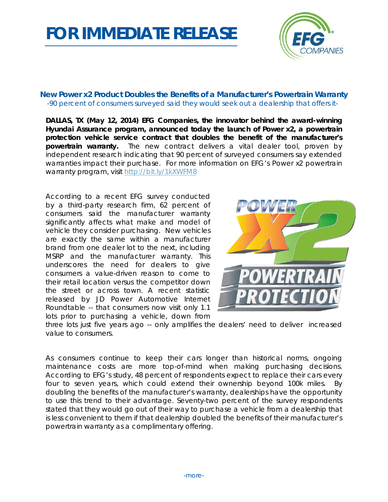## *FOR IMMEDIATE RELEASE*



## **New Power x2 Product Doubles the Benefits of a Manufacturer's Powertrain Warranty** *-90 percent of consumers surveyed said they would seek out a dealership that offers it-*

**DALLAS, TX (May 12, 2014) EFG Companies, the innovator behind the award-winning Hyundai Assurance program, announced today the launch of Power x2, a powertrain protection vehicle service contract that doubles the benefit of the manufacturer's powertrain warranty.** The new contract delivers a vital dealer tool, proven by independent research indicating that 90 percent of surveyed consumers say extended warranties impact their purchase. For more information on EFG's Power x2 powertrain warranty program, visit<http://bit.ly/1kXWFM8>

According to a recent EFG survey conducted by a third-party research firm, 62 percent of consumers said the manufacturer warranty significantly affects what make and model of vehicle they consider purchasing. New vehicles are exactly the same within a manufacturer brand from one dealer lot to the next, including MSRP and the manufacturer warranty. This underscores the need for dealers to give consumers a value-driven reason to come to their retail location versus the competitor down the street or across town. A recent statistic released by JD Power Automotive Internet Roundtable -- that consumers now visit only 1.1 lots prior to purchasing a vehicle, down from



three lots just five years ago -- only amplifies the dealers' need to deliver increased value to consumers.

As consumers continue to keep their cars longer than historical norms, ongoing maintenance costs are more top-of-mind when making purchasing decisions. According to EFG's study, 48 percent of respondents expect to replace their cars every four to seven years, which could extend their ownership beyond 100k miles. By doubling the benefits of the manufacturer's warranty, dealerships have the opportunity to use this trend to their advantage. Seventy-two percent of the survey respondents stated that they would go out of their way to purchase a vehicle from a dealership that is less convenient to them if that dealership doubled the benefits of their manufacturer's powertrain warranty as a complimentary offering.